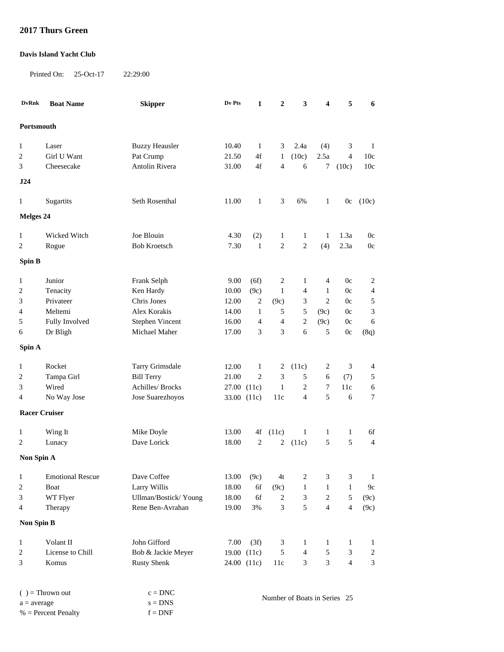## **2017 Thurs Green**

## **Davis Island Yacht Club**

Printed On: 25-Oct-17 22:29:00

| <b>DvRnk</b>                        | <b>Boat Name</b>        | <b>Skipper</b>         | Dv Pts                       | $\mathbf{1}$   | $\boldsymbol{2}$            | 3                       | 4                        | 5              | 6              |
|-------------------------------------|-------------------------|------------------------|------------------------------|----------------|-----------------------------|-------------------------|--------------------------|----------------|----------------|
| Portsmouth                          |                         |                        |                              |                |                             |                         |                          |                |                |
|                                     |                         |                        |                              |                |                             |                         |                          |                |                |
| $\mathbf{1}$                        | Laser                   | <b>Buzzy Heausler</b>  | 10.40                        | $\mathbf{1}$   | 3                           | 2.4a                    | (4)                      | 3              | $\mathbf{1}$   |
| $\boldsymbol{2}$                    | Girl U Want             | Pat Crump              | 21.50                        | 4f             | $\mathbf{1}$                | (10c)                   | 2.5a                     | $\overline{4}$ | 10c            |
| 3                                   | Cheesecake              | Antolin Rivera         | 31.00                        | 4f             | $\overline{4}$              | 6                       | 7                        | (10c)          | 10c            |
| J24                                 |                         |                        |                              |                |                             |                         |                          |                |                |
| 1                                   | Sugartits               | Seth Rosenthal         | 11.00                        | $\mathbf{1}$   | 3                           | 6%                      | $\mathbf{1}$             | 0c             | (10c)          |
| <b>Melges 24</b>                    |                         |                        |                              |                |                             |                         |                          |                |                |
| $\mathbf{1}$                        | Wicked Witch            | Joe Blouin             | 4.30                         | (2)            | $\mathbf{1}$                | $\mathbf{1}$            | $\mathbf{1}$             | 1.3a           | 0c             |
| 2                                   | Rogue                   | <b>Bob Kroetsch</b>    | 7.30                         | $\mathbf{1}$   | $\sqrt{2}$                  | $\boldsymbol{2}$        | (4)                      | 2.3a           | 0c             |
|                                     |                         |                        |                              |                |                             |                         |                          |                |                |
| Spin B                              |                         |                        |                              |                |                             |                         |                          |                |                |
| $\mathbf{1}$                        | Junior                  | Frank Selph            | 9.00                         | (6f)           | $\overline{c}$              | $\mathbf{1}$            | $\overline{\mathcal{L}}$ | $0\mathrm{c}$  | $\sqrt{2}$     |
| 2                                   | Tenacity                | Ken Hardy              | 10.00                        | (9c)           | $\mathbf{1}$                | $\overline{4}$          | $\mathbf{1}$             | 0c             | $\overline{4}$ |
| 3                                   | Privateer               | Chris Jones            | 12.00                        | $\overline{c}$ | (9c)                        | 3                       | $\overline{c}$           | 0c             | $\mathfrak s$  |
| 4                                   | Meltemi                 | Alex Korakis           | 14.00                        | 1              | 5                           | 5                       | (9c)                     | 0c             | 3              |
| 5                                   | Fully Involved          | Stephen Vincent        | 16.00                        | 4              | $\overline{4}$              | $\sqrt{2}$              | (9c)                     | 0c             | 6              |
| 6                                   | Dr Bligh                | Michael Maher          | 17.00                        | 3              | 3                           | 6                       | 5                        | 0c             | (8q)           |
| Spin A                              |                         |                        |                              |                |                             |                         |                          |                |                |
| $\mathbf{1}$                        | Rocket                  | Tarry Grimsdale        | 12.00                        | $\mathbf{1}$   | 2                           | (11c)                   | 2                        | $\mathfrak{Z}$ | 4              |
| $\overline{c}$                      | Tampa Girl              | <b>Bill Terry</b>      | 21.00                        | $\overline{2}$ | 3                           | 5                       | 6                        | (7)            | 5              |
| 3                                   | Wired                   | Achilles/ Brocks       | 27.00 (11c)                  |                | $\mathbf{1}$                | $\boldsymbol{2}$        | $\tau$                   | 11c            | $\epsilon$     |
| 4                                   | No Way Jose             | Jose Suarezhoyos       | 33.00 (11c)                  |                | 11c                         | $\overline{4}$          | 5                        | 6              | 7              |
| <b>Racer Cruiser</b>                |                         |                        |                              |                |                             |                         |                          |                |                |
|                                     |                         |                        |                              |                |                             |                         |                          |                |                |
| 1                                   | Wing It                 | Mike Doyle             | 13.00                        | 4f             | (11c)                       | $\mathbf{1}$            | 1                        | 1              | 6f             |
| 2                                   | Lunacy                  | Dave Lorick            | 18.00                        | $\overline{2}$ | 2                           | (11c)                   | 5                        | 5              | $\overline{4}$ |
| Non Spin A                          |                         |                        |                              |                |                             |                         |                          |                |                |
| $\mathbf{1}$                        | <b>Emotional Rescue</b> | Dave Coffee            | 13.00                        | (9c)           | 4t                          | 2                       | 3                        | 3              | $\mathbf{1}$   |
| $\boldsymbol{2}$                    | Boat                    | Larry Willis           | 18.00                        | 6f             | (9c)                        | $\mathbf{1}$            | $\mathbf{1}$             | $\mathbf{1}$   | 9c             |
| 3                                   | WT Flyer                | Ullman/Bostick/Young   | 18.00                        | 6f             | $\overline{c}$              | 3                       | $\overline{c}$           | 5              | (9c)           |
| 4                                   | Therapy                 | Rene Ben-Avrahan       | 19.00                        | $3\%$          | $\ensuremath{\mathfrak{Z}}$ | 5                       | $\overline{4}$           | $\overline{4}$ | (9c)           |
| <b>Non Spin B</b>                   |                         |                        |                              |                |                             |                         |                          |                |                |
| $\mathbf{1}$                        | Volant II               | John Gifford           | $7.00\,$                     | (3f)           | 3                           | $\mathbf{1}$            | $\mathbf{1}$             | $\mathbf{1}$   | $\mathbf{1}$   |
| $\boldsymbol{2}$                    | License to Chill        | Bob & Jackie Meyer     |                              | 19.00 (11c)    | 5                           | $\overline{\mathbf{4}}$ | $\sqrt{5}$               | $\sqrt{3}$     | $\sqrt{2}$     |
| 3                                   | Komus                   | <b>Rusty Shenk</b>     | 24.00 (11c)                  |                | 11c                         | 3                       | 3                        | $\overline{4}$ | $\mathfrak{Z}$ |
|                                     |                         |                        |                              |                |                             |                         |                          |                |                |
| $( )$ = Thrown out<br>$a = average$ |                         | $c = DNC$<br>$s = DNS$ | Number of Boats in Series 25 |                |                             |                         |                          |                |                |

 $%$  = Percent Penalty